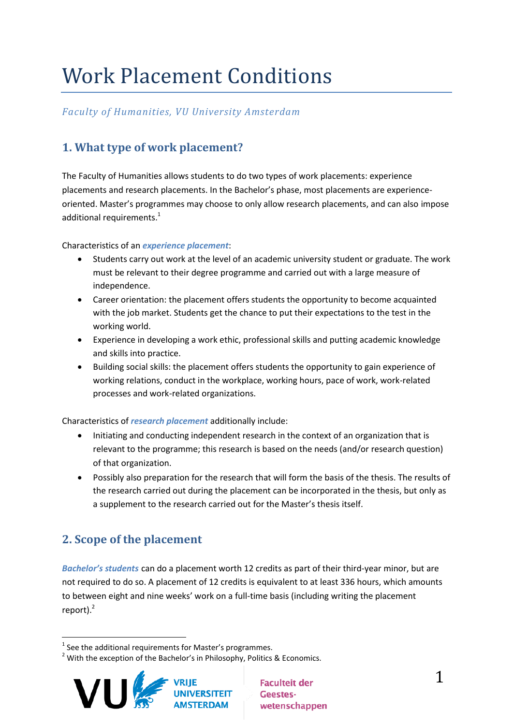# Work Placement Conditions

## *Faculty of Humanities, VU University Amsterdam*

# **1. What type of work placement?**

The Faculty of Humanities allows students to do two types of work placements: experience placements and research placements. In the Bachelor's phase, most placements are experienceoriented. Master's programmes may choose to only allow research placements, and can also impose additional requirements.<sup>1</sup>

#### Characteristics of an *experience placement*:

- Students carry out work at the level of an academic university student or graduate. The work must be relevant to their degree programme and carried out with a large measure of independence.
- Career orientation: the placement offers students the opportunity to become acquainted with the job market. Students get the chance to put their expectations to the test in the working world.
- Experience in developing a work ethic, professional skills and putting academic knowledge and skills into practice.
- Building social skills: the placement offers students the opportunity to gain experience of working relations, conduct in the workplace, working hours, pace of work, work-related processes and work-related organizations.

Characteristics of *research placement* additionally include:

- Initiating and conducting independent research in the context of an organization that is relevant to the programme; this research is based on the needs (and/or research question) of that organization.
- Possibly also preparation for the research that will form the basis of the thesis. The results of the research carried out during the placement can be incorporated in the thesis, but only as a supplement to the research carried out for the Master's thesis itself.

# **2. Scope of the placement**

*Bachelor's students* can do a placement worth 12 credits as part of their third-year minor, but are not required to do so. A placement of 12 credits is equivalent to at least 336 hours, which amounts to between eight and nine weeks' work on a full-time basis (including writing the placement report). $2$ 

 $2$  With the exception of the Bachelor's in Philosophy, Politics & Economics.



**Faculteit der** Geesteswetenschappen

<sup>1</sup>  $<sup>1</sup>$  See the additional requirements for Master's programmes.</sup>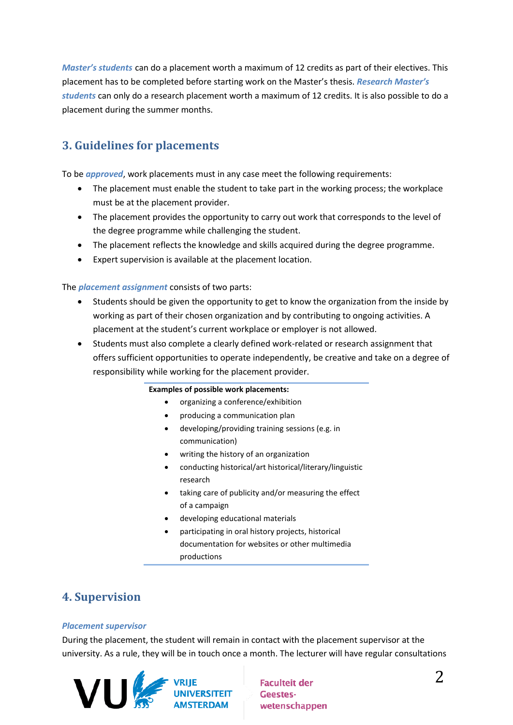*Master's students* can do a placement worth a maximum of 12 credits as part of their electives. This placement has to be completed before starting work on the Master's thesis. *Research Master's students* can only do a research placement worth a maximum of 12 credits. It is also possible to do a placement during the summer months.

# **3. Guidelines for placements**

To be *approved*, work placements must in any case meet the following requirements:

- The placement must enable the student to take part in the working process; the workplace must be at the placement provider.
- The placement provides the opportunity to carry out work that corresponds to the level of the degree programme while challenging the student.
- The placement reflects the knowledge and skills acquired during the degree programme.
- Expert supervision is available at the placement location.

The *placement assignment* consists of two parts:

- Students should be given the opportunity to get to know the organization from the inside by working as part of their chosen organization and by contributing to ongoing activities. A placement at the student's current workplace or employer is not allowed.
- Students must also complete a clearly defined work-related or research assignment that offers sufficient opportunities to operate independently, be creative and take on a degree of responsibility while working for the placement provider.

#### **Examples of possible work placements:**

- organizing a conference/exhibition
- producing a communication plan
- developing/providing training sessions (e.g. in communication)
- writing the history of an organization
- conducting historical/art historical/literary/linguistic research
- taking care of publicity and/or measuring the effect of a campaign
- developing educational materials
- participating in oral history projects, historical documentation for websites or other multimedia productions

## **4. Supervision**

#### *Placement supervisor*

During the placement, the student will remain in contact with the placement supervisor at the university. As a rule, they will be in touch once a month. The lecturer will have regular consultations



**Faculteit der** Geestes-<br>wetensch wetenschappen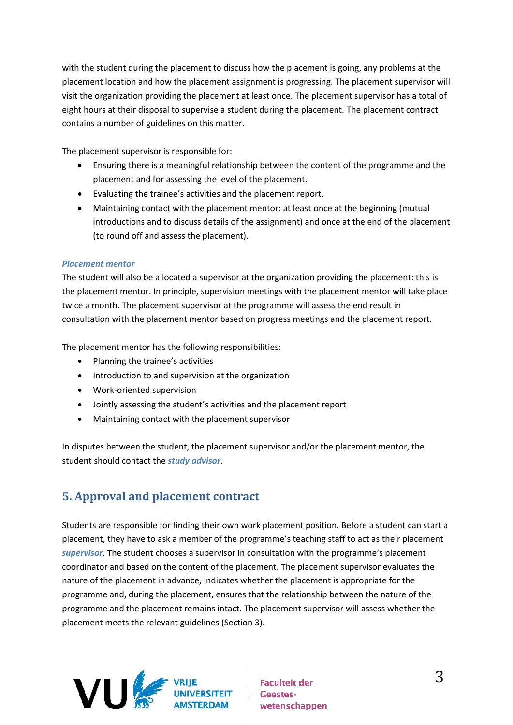with the student during the placement to discuss how the placement is going, any problems at the placement location and how the placement assignment is progressing. The placement supervisor will visit the organization providing the placement at least once. The placement supervisor has a total of eight hours at their disposal to supervise a student during the placement. The placement contract contains a number of guidelines on this matter.

The placement supervisor is responsible for:

- Ensuring there is a meaningful relationship between the content of the programme and the placement and for assessing the level of the placement.
- Evaluating the trainee's activities and the placement report.
- Maintaining contact with the placement mentor: at least once at the beginning (mutual introductions and to discuss details of the assignment) and once at the end of the placement (to round off and assess the placement).

#### *Placement mentor*

The student will also be allocated a supervisor at the organization providing the placement: this is the placement mentor. In principle, supervision meetings with the placement mentor will take place twice a month. The placement supervisor at the programme will assess the end result in consultation with the placement mentor based on progress meetings and the placement report.

The placement mentor has the following responsibilities:

- Planning the trainee's activities
- Introduction to and supervision at the organization
- Work-oriented supervision
- Jointly assessing the student's activities and the placement report
- Maintaining contact with the placement supervisor

In disputes between the student, the placement supervisor and/or the placement mentor, the student should contact the *study advisor*.

# **5. Approval and placement contract**

Students are responsible for finding their own work placement position. Before a student can start a placement, they have to ask a member of the programme's teaching staff to act as their placement *supervisor*. The student chooses a supervisor in consultation with the programme's placement coordinator and based on the content of the placement. The placement supervisor evaluates the nature of the placement in advance, indicates whether the placement is appropriate for the programme and, during the placement, ensures that the relationship between the nature of the programme and the placement remains intact. The placement supervisor will assess whether the placement meets the relevant guidelines (Section 3).



**Faculteit der** Geestes-<br>wetensch wetenschappen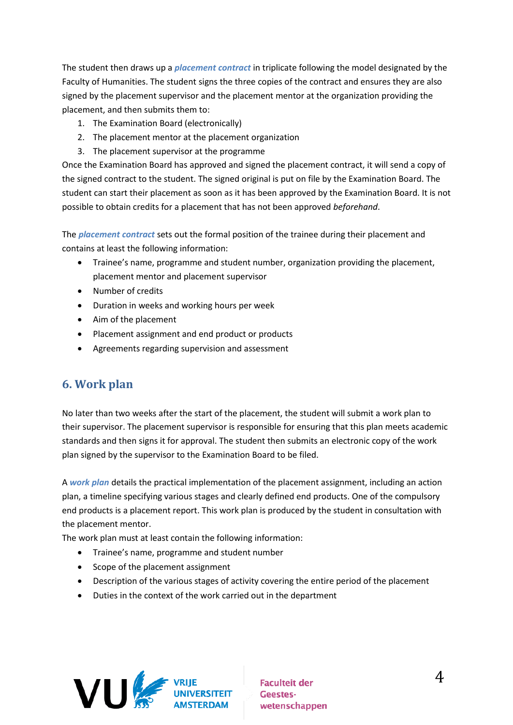The student then draws up a *placement contract* in triplicate following the model designated by the Faculty of Humanities. The student signs the three copies of the contract and ensures they are also signed by the placement supervisor and the placement mentor at the organization providing the placement, and then submits them to:

- 1. The Examination Board (electronically)
- 2. The placement mentor at the placement organization
- 3. The placement supervisor at the programme

Once the Examination Board has approved and signed the placement contract, it will send a copy of the signed contract to the student. The signed original is put on file by the Examination Board. The student can start their placement as soon as it has been approved by the Examination Board. It is not possible to obtain credits for a placement that has not been approved *beforehand*.

The *placement contract* sets out the formal position of the trainee during their placement and contains at least the following information:

- Trainee's name, programme and student number, organization providing the placement, placement mentor and placement supervisor
- · Number of credits
- Duration in weeks and working hours per week
- Aim of the placement
- Placement assignment and end product or products
- Agreements regarding supervision and assessment

## **6. Work plan**

No later than two weeks after the start of the placement, the student will submit a work plan to their supervisor. The placement supervisor is responsible for ensuring that this plan meets academic standards and then signs it for approval. The student then submits an electronic copy of the work plan signed by the supervisor to the Examination Board to be filed.

A *work plan* details the practical implementation of the placement assignment, including an action plan, a timeline specifying various stages and clearly defined end products. One of the compulsory end products is a placement report. This work plan is produced by the student in consultation with the placement mentor.

The work plan must at least contain the following information:

- Trainee's name, programme and student number
- Scope of the placement assignment
- Description of the various stages of activity covering the entire period of the placement
- Duties in the context of the work carried out in the department

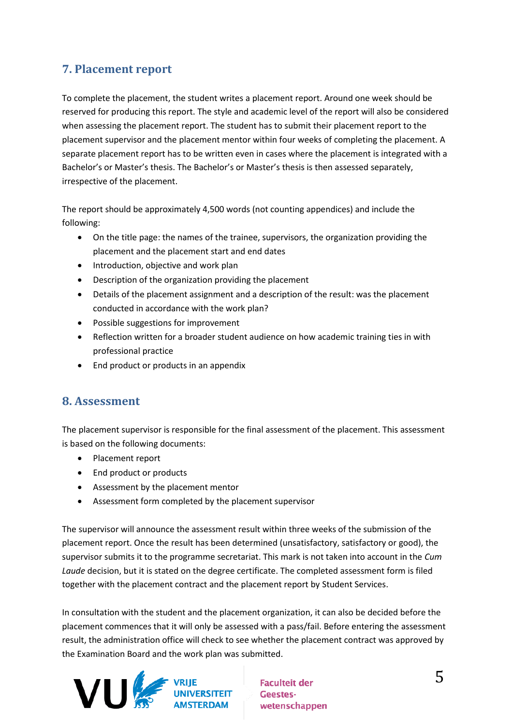# **7. Placement report**

To complete the placement, the student writes a placement report. Around one week should be reserved for producing this report. The style and academic level of the report will also be considered when assessing the placement report. The student has to submit their placement report to the placement supervisor and the placement mentor within four weeks of completing the placement. A separate placement report has to be written even in cases where the placement is integrated with a Bachelor's or Master's thesis. The Bachelor's or Master's thesis is then assessed separately, irrespective of the placement.

The report should be approximately 4,500 words (not counting appendices) and include the following:

- On the title page: the names of the trainee, supervisors, the organization providing the placement and the placement start and end dates
- Introduction, objective and work plan
- Description of the organization providing the placement
- Details of the placement assignment and a description of the result: was the placement conducted in accordance with the work plan?
- Possible suggestions for improvement
- Reflection written for a broader student audience on how academic training ties in with professional practice
- End product or products in an appendix

## **8. Assessment**

The placement supervisor is responsible for the final assessment of the placement. This assessment is based on the following documents:

- Placement report
- End product or products
- Assessment by the placement mentor
- Assessment form completed by the placement supervisor

The supervisor will announce the assessment result within three weeks of the submission of the placement report. Once the result has been determined (unsatisfactory, satisfactory or good), the supervisor submits it to the programme secretariat. This mark is not taken into account in the *Cum Laude* decision, but it is stated on the degree certificate. The completed assessment form is filed together with the placement contract and the placement report by Student Services.

In consultation with the student and the placement organization, it can also be decided before the placement commences that it will only be assessed with a pass/fail. Before entering the assessment result, the administration office will check to see whether the placement contract was approved by the Examination Board and the work plan was submitted.



**Faculteit der** Geestes-<br>wetenschappen